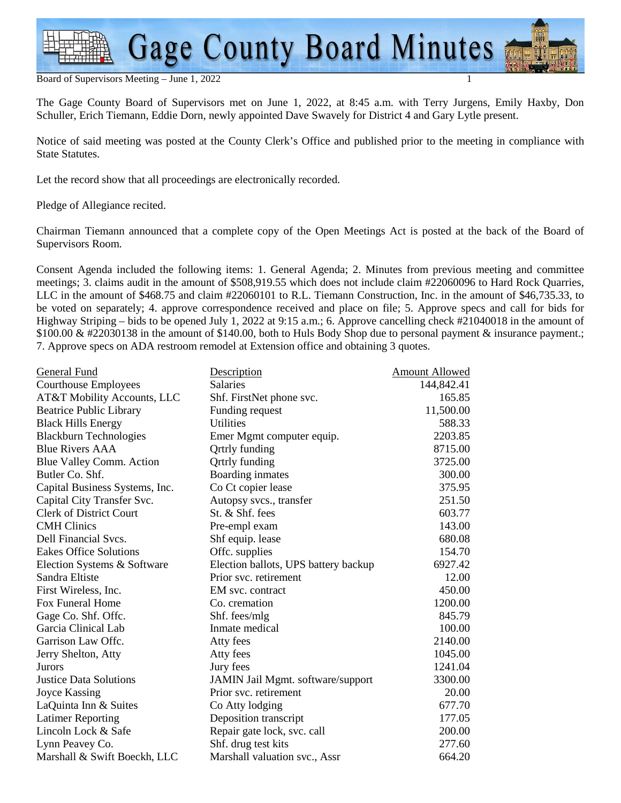**Gage County Board Minutes** 

Board of Supervisors Meeting – June 1, 2022 1

The Gage County Board of Supervisors met on June 1, 2022, at 8:45 a.m. with Terry Jurgens, Emily Haxby, Don Schuller, Erich Tiemann, Eddie Dorn, newly appointed Dave Swavely for District 4 and Gary Lytle present.

Notice of said meeting was posted at the County Clerk's Office and published prior to the meeting in compliance with State Statutes.

Let the record show that all proceedings are electronically recorded.

Pledge of Allegiance recited.

Chairman Tiemann announced that a complete copy of the Open Meetings Act is posted at the back of the Board of Supervisors Room.

Consent Agenda included the following items: 1. General Agenda; 2. Minutes from previous meeting and committee meetings; 3. claims audit in the amount of \$508,919.55 which does not include claim #22060096 to Hard Rock Quarries, LLC in the amount of \$468.75 and claim #22060101 to R.L. Tiemann Construction, Inc. in the amount of \$46,735.33, to be voted on separately; 4. approve correspondence received and place on file; 5. Approve specs and call for bids for Highway Striping – bids to be opened July 1, 2022 at 9:15 a.m.; 6. Approve cancelling check #21040018 in the amount of \$100.00 & #22030138 in the amount of \$140.00, both to Huls Body Shop due to personal payment & insurance payment.; 7. Approve specs on ADA restroom remodel at Extension office and obtaining 3 quotes.

| General Fund                   | Description                          | Amount Allowed |
|--------------------------------|--------------------------------------|----------------|
| <b>Courthouse Employees</b>    | <b>Salaries</b>                      | 144,842.41     |
| AT&T Mobility Accounts, LLC    | Shf. FirstNet phone svc.             | 165.85         |
| <b>Beatrice Public Library</b> | Funding request                      | 11,500.00      |
| <b>Black Hills Energy</b>      | <b>Utilities</b>                     | 588.33         |
| <b>Blackburn Technologies</b>  | Emer Mgmt computer equip.            | 2203.85        |
| <b>Blue Rivers AAA</b>         | <b>Qrtrly</b> funding                | 8715.00        |
| Blue Valley Comm. Action       | <b>Qrtrly</b> funding                | 3725.00        |
| Butler Co. Shf.                | Boarding inmates                     | 300.00         |
| Capital Business Systems, Inc. | Co Ct copier lease                   | 375.95         |
| Capital City Transfer Svc.     | Autopsy svcs., transfer              | 251.50         |
| <b>Clerk of District Court</b> | St. & Shf. fees                      | 603.77         |
| <b>CMH</b> Clinics             | Pre-empl exam                        | 143.00         |
| Dell Financial Svcs.           | Shf equip. lease                     | 680.08         |
| <b>Eakes Office Solutions</b>  | Offc. supplies                       | 154.70         |
| Election Systems & Software    | Election ballots, UPS battery backup | 6927.42        |
| Sandra Eltiste                 | Prior svc. retirement                | 12.00          |
| First Wireless, Inc.           | EM svc. contract                     | 450.00         |
| Fox Funeral Home               | Co. cremation                        | 1200.00        |
| Gage Co. Shf. Offc.            | Shf. fees/mlg                        | 845.79         |
| Garcia Clinical Lab            | Inmate medical                       | 100.00         |
| Garrison Law Offe.             | Atty fees                            | 2140.00        |
| Jerry Shelton, Atty            | Atty fees                            | 1045.00        |
| Jurors                         | Jury fees                            | 1241.04        |
| <b>Justice Data Solutions</b>  | JAMIN Jail Mgmt. software/support    | 3300.00        |
| <b>Joyce Kassing</b>           | Prior svc. retirement                | 20.00          |
| LaQuinta Inn & Suites          | Co Atty lodging                      | 677.70         |
| <b>Latimer Reporting</b>       | Deposition transcript                | 177.05         |
| Lincoln Lock & Safe            | Repair gate lock, svc. call          | 200.00         |
| Lynn Peavey Co.                | Shf. drug test kits                  | 277.60         |
| Marshall & Swift Boeckh, LLC   | Marshall valuation svc., Assr        | 664.20         |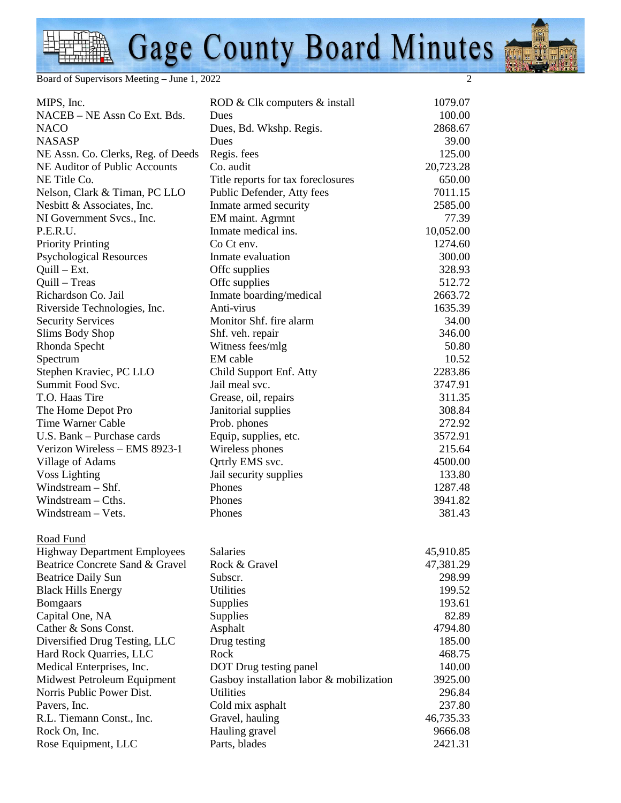## Gage County Board Minutes

Board of Supervisors Meeting – June 1, 2022

| MIPS, Inc.                          | ROD & Clk computers & install            | 1079.07   |
|-------------------------------------|------------------------------------------|-----------|
| NACEB - NE Assn Co Ext. Bds.        | Dues                                     | 100.00    |
| <b>NACO</b>                         | Dues, Bd. Wkshp. Regis.                  | 2868.67   |
| <b>NASASP</b>                       | Dues                                     | 39.00     |
| NE Assn. Co. Clerks, Reg. of Deeds  | Regis. fees                              | 125.00    |
| NE Auditor of Public Accounts       | Co. audit                                | 20,723.28 |
| NE Title Co.                        | Title reports for tax foreclosures       | 650.00    |
| Nelson, Clark & Timan, PC LLO       | Public Defender, Atty fees               | 7011.15   |
| Nesbitt & Associates, Inc.          | Inmate armed security                    | 2585.00   |
| NI Government Svcs., Inc.           | EM maint. Agrmnt                         | 77.39     |
| P.E.R.U.                            | Inmate medical ins.                      | 10,052.00 |
| <b>Priority Printing</b>            | Co Ct env.                               | 1274.60   |
| <b>Psychological Resources</b>      | Inmate evaluation                        | 300.00    |
| $Quill - Ext.$                      | Offc supplies                            | 328.93    |
| Quill – Treas                       | Offc supplies                            | 512.72    |
| Richardson Co. Jail                 | Inmate boarding/medical                  | 2663.72   |
| Riverside Technologies, Inc.        | Anti-virus                               | 1635.39   |
| <b>Security Services</b>            | Monitor Shf. fire alarm                  | 34.00     |
| Slims Body Shop                     | Shf. veh. repair                         | 346.00    |
| Rhonda Specht                       | Witness fees/mlg                         | 50.80     |
| Spectrum                            | EM cable                                 | 10.52     |
| Stephen Kraviec, PC LLO             | Child Support Enf. Atty                  | 2283.86   |
| Summit Food Svc.                    | Jail meal svc.                           | 3747.91   |
| T.O. Haas Tire                      | Grease, oil, repairs                     | 311.35    |
| The Home Depot Pro                  | Janitorial supplies                      | 308.84    |
| Time Warner Cable                   | Prob. phones                             | 272.92    |
| U.S. Bank - Purchase cards          | Equip, supplies, etc.                    | 3572.91   |
| Verizon Wireless - EMS 8923-1       | Wireless phones                          | 215.64    |
| Village of Adams                    | Qrtrly EMS svc.                          | 4500.00   |
| <b>Voss Lighting</b>                | Jail security supplies                   | 133.80    |
| Windstream - Shf.                   | Phones                                   | 1287.48   |
| Windstream $-$ Cths.                | Phones                                   | 3941.82   |
| Windstream - Vets.                  | Phones                                   | 381.43    |
|                                     |                                          |           |
| Road Fund                           |                                          |           |
| <b>Highway Department Employees</b> | Salaries                                 | 45,910.85 |
| Beatrice Concrete Sand & Gravel     | Rock & Gravel                            | 47,381.29 |
| <b>Beatrice Daily Sun</b>           | Subscr.                                  | 298.99    |
| <b>Black Hills Energy</b>           | <b>Utilities</b>                         | 199.52    |
| <b>Bomgaars</b>                     | <b>Supplies</b>                          | 193.61    |
| Capital One, NA                     | Supplies                                 | 82.89     |
| Cather & Sons Const.                | Asphalt                                  | 4794.80   |
| Diversified Drug Testing, LLC       | Drug testing                             | 185.00    |
| Hard Rock Quarries, LLC             | Rock                                     | 468.75    |
| Medical Enterprises, Inc.           | DOT Drug testing panel                   | 140.00    |
| Midwest Petroleum Equipment         | Gasboy installation labor & mobilization | 3925.00   |
| Norris Public Power Dist.           | Utilities                                | 296.84    |
| Pavers, Inc.                        | Cold mix asphalt                         | 237.80    |
| R.L. Tiemann Const., Inc.           | Gravel, hauling                          | 46,735.33 |
| Rock On, Inc.                       | Hauling gravel                           | 9666.08   |
| Rose Equipment, LLC                 | Parts, blades                            | 2421.31   |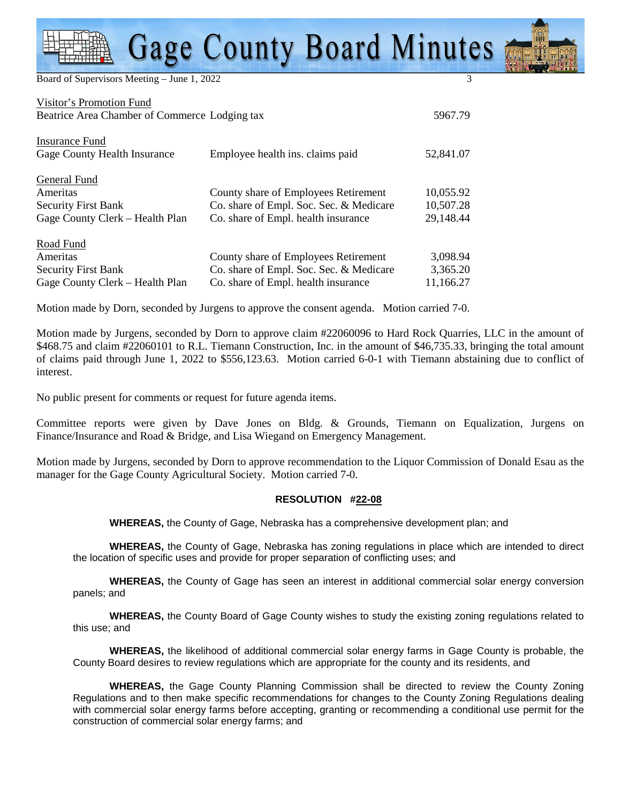## **Gage County Board Minutes**

Board of Supervisors Meeting - June 1, 2022

| Visitor's Promotion Fund                      |                                         |           |
|-----------------------------------------------|-----------------------------------------|-----------|
| Beatrice Area Chamber of Commerce Lodging tax |                                         | 5967.79   |
|                                               |                                         |           |
| Insurance Fund                                |                                         |           |
| Gage County Health Insurance                  | Employee health ins. claims paid        | 52,841.07 |
|                                               |                                         |           |
| General Fund                                  |                                         |           |
| Ameritas                                      | County share of Employees Retirement    | 10,055.92 |
| <b>Security First Bank</b>                    | Co. share of Empl. Soc. Sec. & Medicare | 10,507.28 |
| Gage County Clerk – Health Plan               | Co. share of Empl. health insurance     | 29,148.44 |
|                                               |                                         |           |
| Road Fund                                     |                                         |           |
| Ameritas                                      | County share of Employees Retirement    | 3,098.94  |
| <b>Security First Bank</b>                    | Co. share of Empl. Soc. Sec. & Medicare | 3,365.20  |
| Gage County Clerk – Health Plan               | Co. share of Empl. health insurance     | 11,166.27 |

Motion made by Dorn, seconded by Jurgens to approve the consent agenda. Motion carried 7-0.

Motion made by Jurgens, seconded by Dorn to approve claim #22060096 to Hard Rock Quarries, LLC in the amount of \$468.75 and claim #22060101 to R.L. Tiemann Construction, Inc. in the amount of \$46,735.33, bringing the total amount of claims paid through June 1, 2022 to \$556,123.63. Motion carried 6-0-1 with Tiemann abstaining due to conflict of interest.

No public present for comments or request for future agenda items.

Committee reports were given by Dave Jones on Bldg. & Grounds, Tiemann on Equalization, Jurgens on Finance/Insurance and Road & Bridge, and Lisa Wiegand on Emergency Management.

Motion made by Jurgens, seconded by Dorn to approve recommendation to the Liquor Commission of Donald Esau as the manager for the Gage County Agricultural Society. Motion carried 7-0.

## **RESOLUTION #22-08**

 **WHEREAS,** the County of Gage, Nebraska has a comprehensive development plan; and

**WHEREAS,** the County of Gage, Nebraska has zoning regulations in place which are intended to direct the location of specific uses and provide for proper separation of conflicting uses; and

**WHEREAS,** the County of Gage has seen an interest in additional commercial solar energy conversion panels; and

**WHEREAS,** the County Board of Gage County wishes to study the existing zoning regulations related to this use; and

**WHEREAS,** the likelihood of additional commercial solar energy farms in Gage County is probable, the County Board desires to review regulations which are appropriate for the county and its residents, and

**WHEREAS,** the Gage County Planning Commission shall be directed to review the County Zoning Regulations and to then make specific recommendations for changes to the County Zoning Regulations dealing with commercial solar energy farms before accepting, granting or recommending a conditional use permit for the construction of commercial solar energy farms; and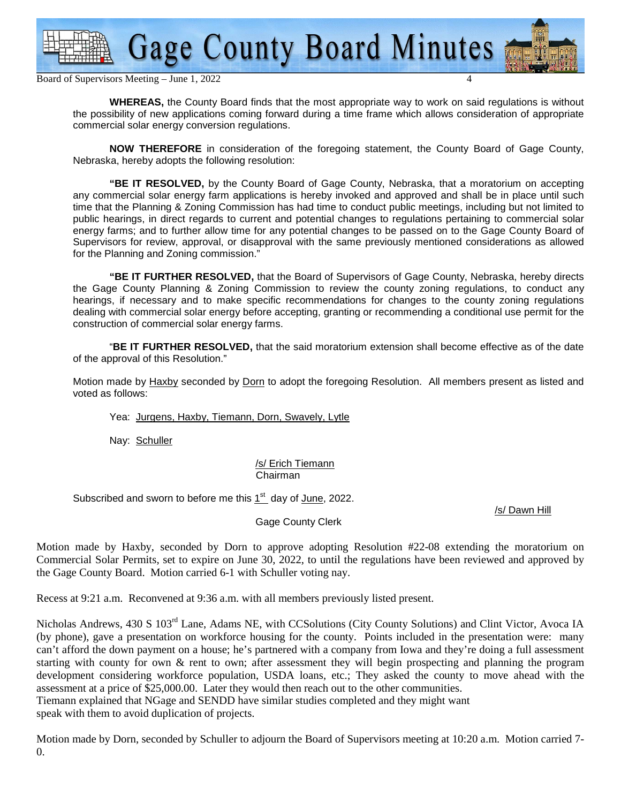

Board of Supervisors Meeting – June 1, 2022 4

**WHEREAS,** the County Board finds that the most appropriate way to work on said regulations is without the possibility of new applications coming forward during a time frame which allows consideration of appropriate commercial solar energy conversion regulations.

**NOW THEREFORE** in consideration of the foregoing statement, the County Board of Gage County, Nebraska, hereby adopts the following resolution:

**"BE IT RESOLVED,** by the County Board of Gage County, Nebraska, that a moratorium on accepting any commercial solar energy farm applications is hereby invoked and approved and shall be in place until such time that the Planning & Zoning Commission has had time to conduct public meetings, including but not limited to public hearings, in direct regards to current and potential changes to regulations pertaining to commercial solar energy farms; and to further allow time for any potential changes to be passed on to the Gage County Board of Supervisors for review, approval, or disapproval with the same previously mentioned considerations as allowed for the Planning and Zoning commission."

**"BE IT FURTHER RESOLVED,** that the Board of Supervisors of Gage County, Nebraska, hereby directs the Gage County Planning & Zoning Commission to review the county zoning regulations, to conduct any hearings, if necessary and to make specific recommendations for changes to the county zoning regulations dealing with commercial solar energy before accepting, granting or recommending a conditional use permit for the construction of commercial solar energy farms.

 "**BE IT FURTHER RESOLVED,** that the said moratorium extension shall become effective as of the date of the approval of this Resolution."

Motion made by Haxby seconded by Dorn to adopt the foregoing Resolution. All members present as listed and voted as follows:

Yea: Jurgens, Haxby, Tiemann, Dorn, Swavely, Lytle

Nay: Schuller

/s/ Erich Tiemann Chairman

Subscribed and sworn to before me this  $1<sup>st</sup>$  day of June, 2022.

/s/ Dawn Hill

Gage County Clerk

Motion made by Haxby, seconded by Dorn to approve adopting Resolution #22-08 extending the moratorium on Commercial Solar Permits, set to expire on June 30, 2022, to until the regulations have been reviewed and approved by the Gage County Board. Motion carried 6-1 with Schuller voting nay.

Recess at 9:21 a.m. Reconvened at 9:36 a.m. with all members previously listed present.

Nicholas Andrews, 430 S 103rd Lane, Adams NE, with CCSolutions (City County Solutions) and Clint Victor, Avoca IA (by phone), gave a presentation on workforce housing for the county. Points included in the presentation were: many can't afford the down payment on a house; he's partnered with a company from Iowa and they're doing a full assessment starting with county for own & rent to own; after assessment they will begin prospecting and planning the program development considering workforce population, USDA loans, etc.; They asked the county to move ahead with the assessment at a price of \$25,000.00. Later they would then reach out to the other communities. Tiemann explained that NGage and SENDD have similar studies completed and they might want

speak with them to avoid duplication of projects.

Motion made by Dorn, seconded by Schuller to adjourn the Board of Supervisors meeting at 10:20 a.m. Motion carried 7- 0.